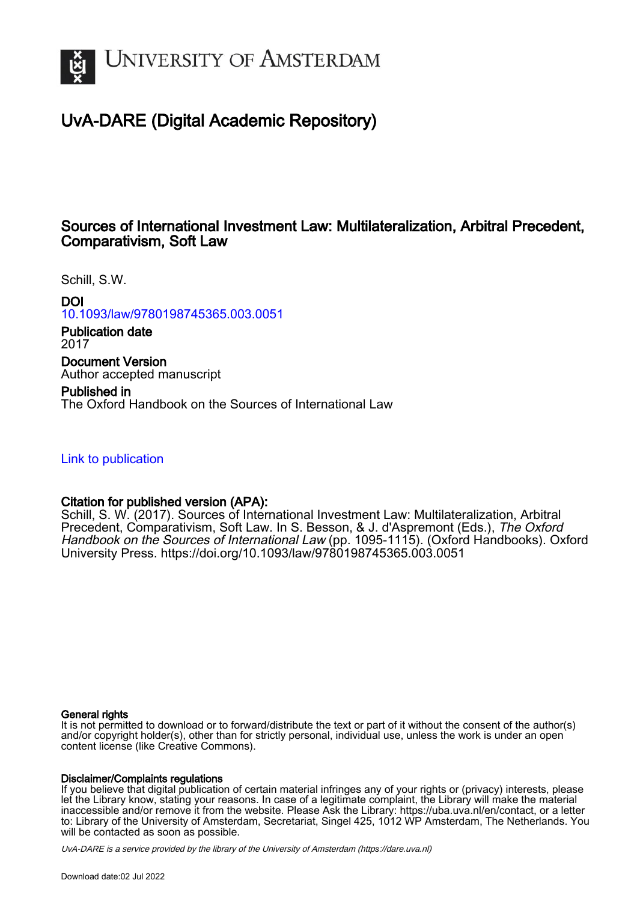

### UvA-DARE (Digital Academic Repository)

### Sources of International Investment Law: Multilateralization, Arbitral Precedent, Comparativism, Soft Law

Schill, S.W.

DOI [10.1093/law/9780198745365.003.0051](https://doi.org/10.1093/law/9780198745365.003.0051)

Publication date 2017

Document Version Author accepted manuscript

Published in The Oxford Handbook on the Sources of International Law

[Link to publication](https://dare.uva.nl/personal/pure/en/publications/sources-of-international-investment-law-multilateralization-arbitral-precedent-comparativism-soft-law(06156981-0589-4ace-a791-d91dd4edc843).html)

### Citation for published version (APA):

Schill, S. W. (2017). Sources of International Investment Law: Multilateralization, Arbitral Precedent, Comparativism, Soft Law. In S. Besson, & J. d'Aspremont (Eds.), The Oxford Handbook on the Sources of International Law (pp. 1095-1115). (Oxford Handbooks). Oxford University Press.<https://doi.org/10.1093/law/9780198745365.003.0051>

#### General rights

It is not permitted to download or to forward/distribute the text or part of it without the consent of the author(s) and/or copyright holder(s), other than for strictly personal, individual use, unless the work is under an open content license (like Creative Commons).

#### Disclaimer/Complaints regulations

If you believe that digital publication of certain material infringes any of your rights or (privacy) interests, please let the Library know, stating your reasons. In case of a legitimate complaint, the Library will make the material inaccessible and/or remove it from the website. Please Ask the Library: https://uba.uva.nl/en/contact, or a letter to: Library of the University of Amsterdam, Secretariat, Singel 425, 1012 WP Amsterdam, The Netherlands. You will be contacted as soon as possible.

UvA-DARE is a service provided by the library of the University of Amsterdam (http*s*://dare.uva.nl)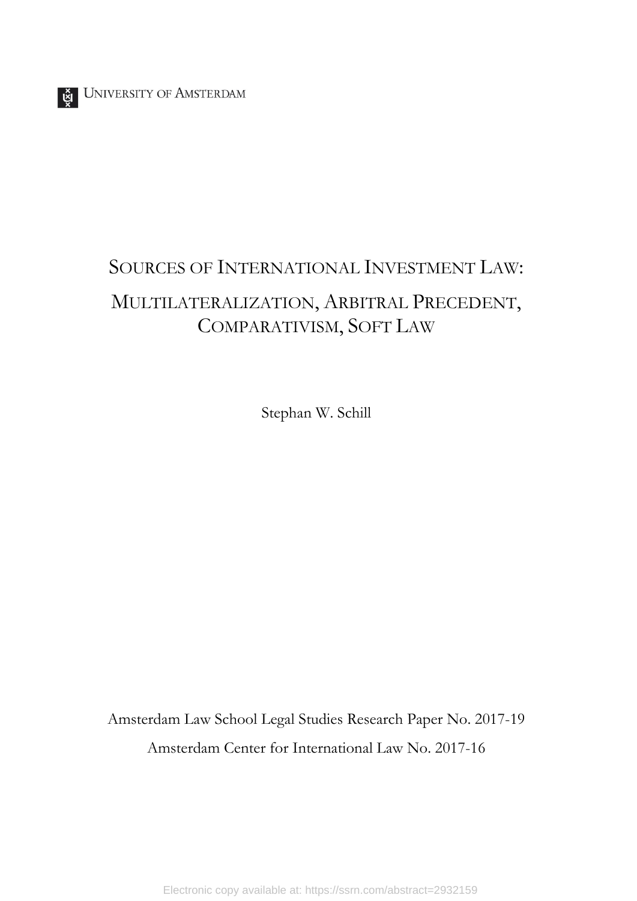# SOURCES OF INTERNATIONAL INVESTMENT LAW: MULTILATERALIZATION, ARBITRAL PRECEDENT, COMPARATIVISM, SOFT LAW

Stephan W. Schill

Amsterdam Law School Legal Studies Research Paper No. 2017-19 Amsterdam Center for International Law No. 2017-16

Electronic copy available at: https://ssrn.com/abstract=2932159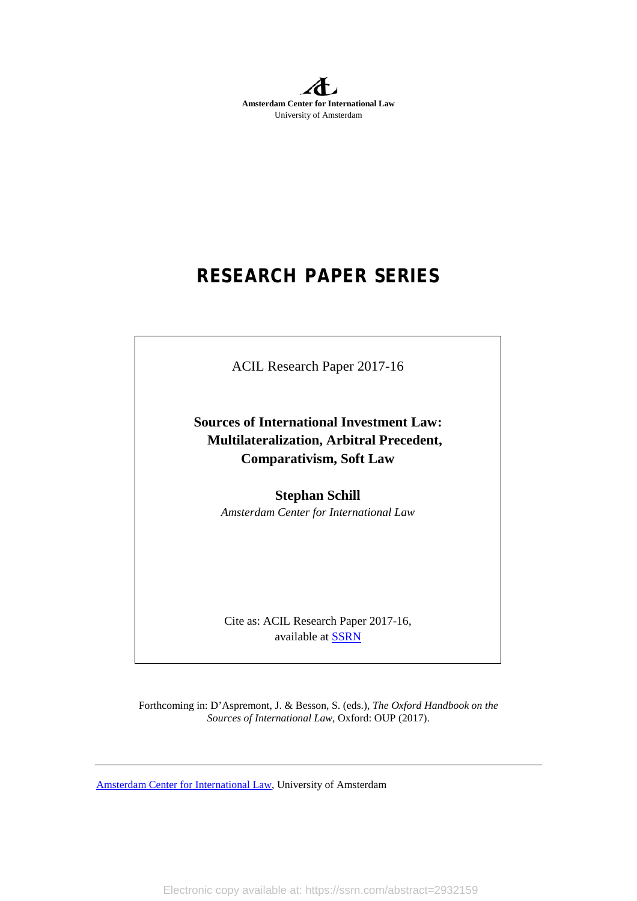**Amsterdam Center for International Law** University of Amsterdam

# **RESEARCH PAPER SERIES**

ACIL Research Paper 2017-16

**Sources of International Investment Law: Multilateralization, Arbitral Precedent, Comparativism, Soft Law** 

> **Stephan Schill** *Amsterdam Center for International Law*

Cite as: ACIL Research Paper 2017-16, available at [SSRN](http://papers.ssrn.com/sol3/JELJOUR_Results.cfm?form_name=journalBrowse&journal_id=1788426)

Forthcoming in: D'Aspremont, J. & Besson, S. (eds.), *The Oxford Handbook on the Sources of International Law,* Oxford: OUP (2017).

[Amsterdam Center for International Law,](http://acil.uva.nl/) University of Amsterdam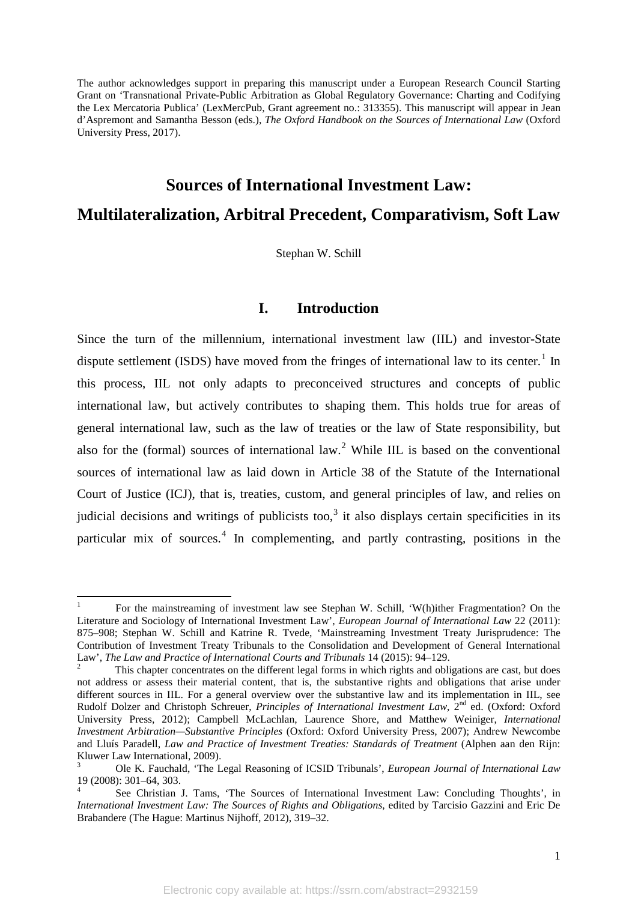The author acknowledges support in preparing this manuscript under a European Research Council Starting Grant on 'Transnational Private-Public Arbitration as Global Regulatory Governance: Charting and Codifying the Lex Mercatoria Publica' (LexMercPub, Grant agreement no.: 313355). This manuscript will appear in Jean d'Aspremont and Samantha Besson (eds.), *The Oxford Handbook on the Sources of International Law* (Oxford University Press, 2017).

## **Sources of International Investment Law: Multilateralization, Arbitral Precedent, Comparativism, Soft Law**

Stephan W. Schill

#### **I. Introduction**

Since the turn of the millennium, international investment law (IIL) and investor-State dispute settlement (ISDS) have moved from the fringes of international law to its center.<sup>[1](#page-3-0)</sup> In this process, IIL not only adapts to preconceived structures and concepts of public international law, but actively contributes to shaping them. This holds true for areas of general international law, such as the law of treaties or the law of State responsibility, but also for the (formal) sources of international law.<sup>[2](#page-3-1)</sup> While IIL is based on the conventional sources of international law as laid down in Article 38 of the Statute of the International Court of Justice (ICJ), that is, treaties, custom, and general principles of law, and relies on judicial decisions and writings of publicists too,<sup>[3](#page-3-2)</sup> it also displays certain specificities in its particular mix of sources.<sup>[4](#page-3-3)</sup> In complementing, and partly contrasting, positions in the

<span id="page-3-0"></span><sup>1</sup> For the mainstreaming of investment law see Stephan W. Schill, 'W(h)ither Fragmentation? On the Literature and Sociology of International Investment Law', *European Journal of International Law* 22 (2011): 875–908; Stephan W. Schill and Katrine R. Tvede, 'Mainstreaming Investment Treaty Jurisprudence: The Contribution of Investment Treaty Tribunals to the Consolidation and Development of General International Law', *The Law and Practice of International Courts and Tribunals* 14 (2015): 94–129.<br><sup>2</sup> This chapter concentrates on the different legal forms in which rights and obligations are cast, but does

<span id="page-3-1"></span>not address or assess their material content, that is, the substantive rights and obligations that arise under different sources in IIL. For a general overview over the substantive law and its implementation in IIL, see Rudolf Dolzer and Christoph Schreuer, *Principles of International Investment Law*, 2<sup>nd</sup> ed. (Oxford: Oxford University Press, 2012); Campbell McLachlan, Laurence Shore, and Matthew Weiniger, *International Investment Arbitration—Substantive Principles* (Oxford: Oxford University Press, 2007); Andrew Newcombe and Lluís Paradell, *Law and Practice of Investment Treaties: Standards of Treatment* (Alphen aan den Rijn: Kluwer Law International, 2009).

<span id="page-3-2"></span><sup>3</sup> Ole K. Fauchald, 'The Legal Reasoning of ICSID Tribunals', *European Journal of International Law* 19 (2008): 301–64, 303.<br><sup>4</sup> See Christian J. Tams, 'The Sources of International Investment Law: Concluding Thoughts', in

<span id="page-3-3"></span>*International Investment Law: The Sources of Rights and Obligations*, edited by Tarcisio Gazzini and Eric De Brabandere (The Hague: Martinus Nijhoff, 2012), 319–32.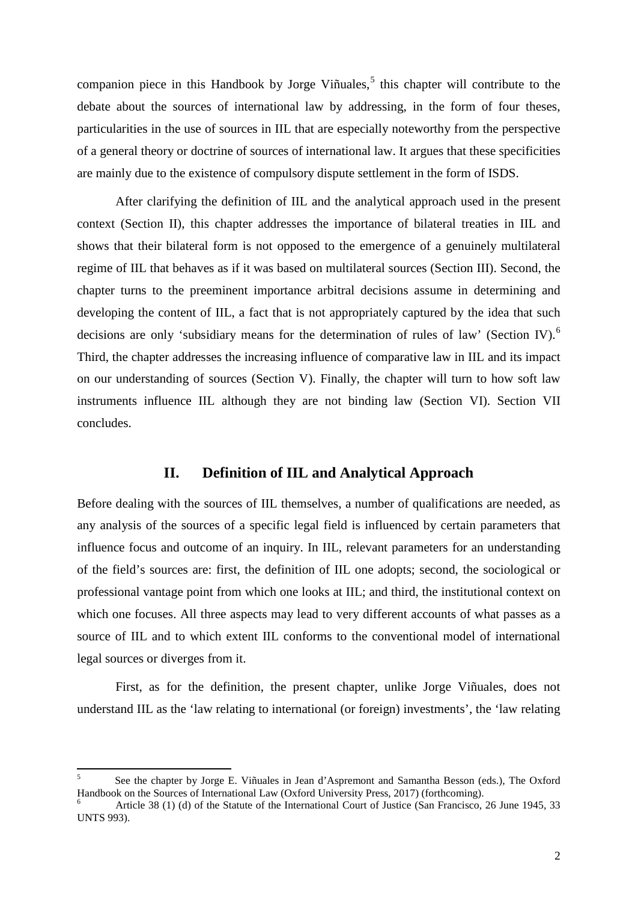companion piece in this Handbook by Jorge Viñuales,<sup>[5](#page-4-0)</sup> this chapter will contribute to the debate about the sources of international law by addressing, in the form of four theses, particularities in the use of sources in IIL that are especially noteworthy from the perspective of a general theory or doctrine of sources of international law. It argues that these specificities are mainly due to the existence of compulsory dispute settlement in the form of ISDS.

After clarifying the definition of IIL and the analytical approach used in the present context (Section II), this chapter addresses the importance of bilateral treaties in IIL and shows that their bilateral form is not opposed to the emergence of a genuinely multilateral regime of IIL that behaves as if it was based on multilateral sources (Section III). Second, the chapter turns to the preeminent importance arbitral decisions assume in determining and developing the content of IIL, a fact that is not appropriately captured by the idea that such decisions are only 'subsidiary means for the determination of rules of law' (Section IV).<sup>[6](#page-4-1)</sup> Third, the chapter addresses the increasing influence of comparative law in IIL and its impact on our understanding of sources (Section V). Finally, the chapter will turn to how soft law instruments influence IIL although they are not binding law (Section VI). Section VII concludes.

#### **II. Definition of IIL and Analytical Approach**

Before dealing with the sources of IIL themselves, a number of qualifications are needed, as any analysis of the sources of a specific legal field is influenced by certain parameters that influence focus and outcome of an inquiry. In IIL, relevant parameters for an understanding of the field's sources are: first, the definition of IIL one adopts; second, the sociological or professional vantage point from which one looks at IIL; and third, the institutional context on which one focuses. All three aspects may lead to very different accounts of what passes as a source of IIL and to which extent IIL conforms to the conventional model of international legal sources or diverges from it.

First, as for the definition, the present chapter, unlike Jorge Viñuales, does not understand IIL as the 'law relating to international (or foreign) investments', the 'law relating

<span id="page-4-0"></span><sup>&</sup>lt;sup>5</sup> See the chapter by Jorge E. Viñuales in Jean d'Aspremont and Samantha Besson (eds.), The Oxford Handbook on the Sources of International Law (Oxford University Press, 2017) (forthcoming).

<span id="page-4-1"></span>Article 38 (1) (d) of the Statute of the International Court of Justice (San Francisco, 26 June 1945, 33 UNTS 993).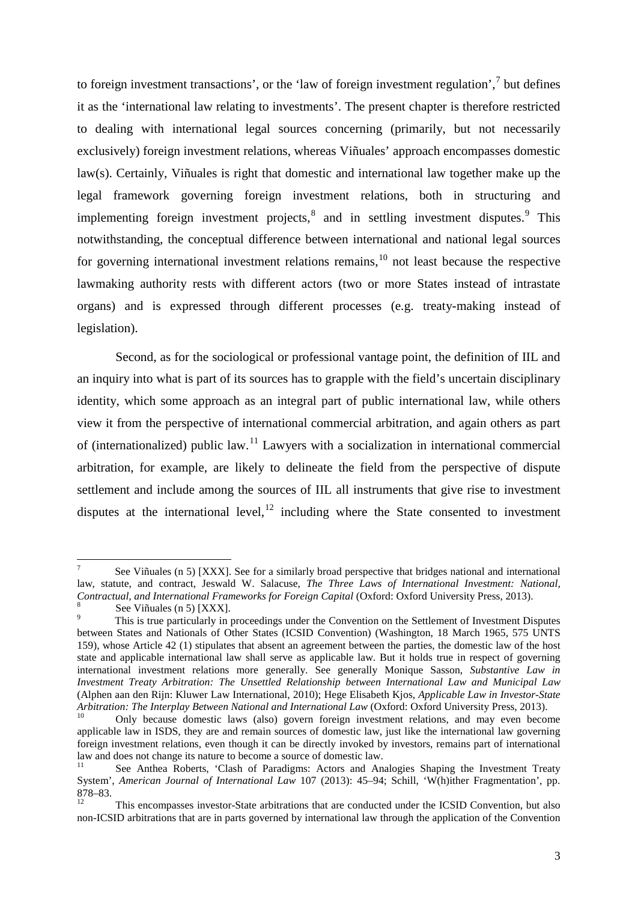to foreign investment transactions', or the 'law of foreign investment regulation',<sup>[7](#page-5-0)</sup> but defines it as the 'international law relating to investments'. The present chapter is therefore restricted to dealing with international legal sources concerning (primarily, but not necessarily exclusively) foreign investment relations, whereas Viñuales' approach encompasses domestic law(s). Certainly, Viñuales is right that domestic and international law together make up the legal framework governing foreign investment relations, both in structuring and implementing foreign investment projects,<sup>[8](#page-5-1)</sup> and in settling investment disputes.<sup>[9](#page-5-2)</sup> This notwithstanding, the conceptual difference between international and national legal sources for governing international investment relations remains, $10$  not least because the respective lawmaking authority rests with different actors (two or more States instead of intrastate organs) and is expressed through different processes (e.g. treaty-making instead of legislation).

Second, as for the sociological or professional vantage point, the definition of IIL and an inquiry into what is part of its sources has to grapple with the field's uncertain disciplinary identity, which some approach as an integral part of public international law, while others view it from the perspective of international commercial arbitration, and again others as part of (internationalized) public law.[11](#page-5-4) Lawyers with a socialization in international commercial arbitration, for example, are likely to delineate the field from the perspective of dispute settlement and include among the sources of IIL all instruments that give rise to investment disputes at the international level, $12$  including where the State consented to investment

<span id="page-5-0"></span>See Viñuales (n 5) [XXX]. See for a similarly broad perspective that bridges national and international law, statute, and contract, Jeswald W. Salacuse, *The Three Laws of International Investment: National, Contractual, and International Frameworks for Foreign Capital (Oxford: Oxford University Press, 2013).* 

<span id="page-5-2"></span><span id="page-5-1"></span><sup>&</sup>lt;sup>8</sup><br>See Viñuales (n 5) [XXX].<br>This is true particularly in proceedings under the Convention on the Settlement of Investment Disputes between States and Nationals of Other States (ICSID Convention) (Washington, 18 March 1965, 575 UNTS 159), whose Article 42 (1) stipulates that absent an agreement between the parties, the domestic law of the host state and applicable international law shall serve as applicable law. But it holds true in respect of governing international investment relations more generally. See generally Monique Sasson, *Substantive Law in Investment Treaty Arbitration: The Unsettled Relationship between International Law and Municipal Law* (Alphen aan den Rijn: Kluwer Law International, 2010); Hege Elisabeth Kjos, *Applicable Law in Investor-State Arbitration: The Interplay Between National and International Law (Oxford: Oxford University Press, 2013).*<br><sup>10</sup> Only because domestic laws (also) govern foreign investment relations, and may even become

<span id="page-5-3"></span>applicable law in ISDS, they are and remain sources of domestic law, just like the international law governing foreign investment relations, even though it can be directly invoked by investors, remains part of international law and does not change its nature to become a source of domestic law.

<span id="page-5-4"></span>See Anthea Roberts, 'Clash of Paradigms: Actors and Analogies Shaping the Investment Treaty System', *American Journal of International Law* 107 (2013): 45–94; Schill, 'W(h)ither Fragmentation', pp. 878–83.<br><sup>12</sup> This encompasses investor-State arbitrations that are conducted under the ICSID Convention, but also

<span id="page-5-5"></span>non-ICSID arbitrations that are in parts governed by international law through the application of the Convention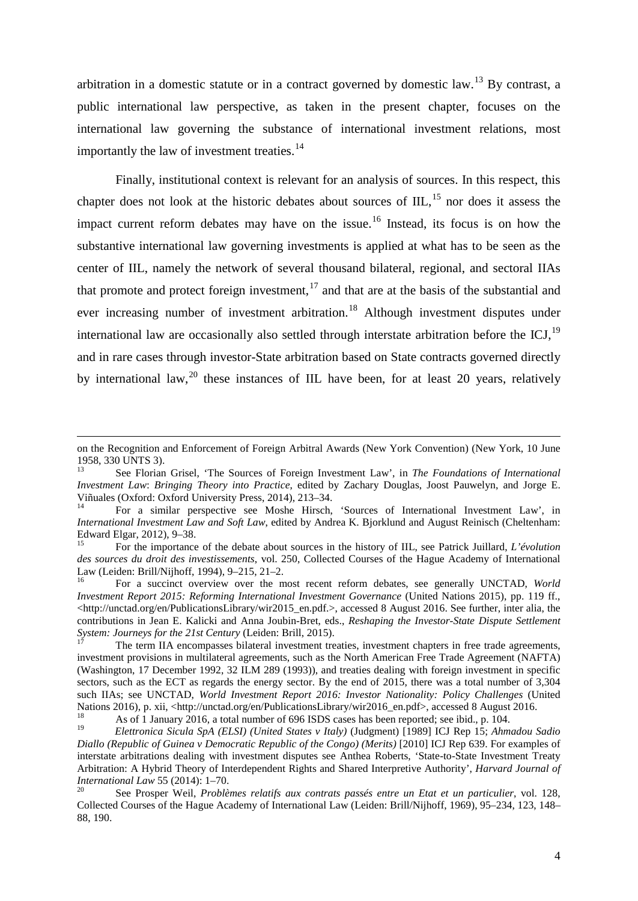arbitration in a domestic statute or in a contract governed by domestic law.<sup>[13](#page-6-0)</sup> By contrast, a public international law perspective, as taken in the present chapter, focuses on the international law governing the substance of international investment relations, most importantly the law of investment treaties.<sup>[14](#page-6-1)</sup>

Finally, institutional context is relevant for an analysis of sources. In this respect, this chapter does not look at the historic debates about sources of  $III$ ,  $^{15}$  $^{15}$  $^{15}$  nor does it assess the impact current reform debates may have on the issue. [16](#page-6-3) Instead, its focus is on how the substantive international law governing investments is applied at what has to be seen as the center of IIL, namely the network of several thousand bilateral, regional, and sectoral IIAs that promote and protect foreign investment,  $17$  and that are at the basis of the substantial and ever increasing number of investment arbitration.<sup>[18](#page-6-5)</sup> Although investment disputes under international law are occasionally also settled through interstate arbitration before the ICJ,<sup>[19](#page-6-6)</sup> and in rare cases through investor-State arbitration based on State contracts governed directly by international law,<sup>[20](#page-6-7)</sup> these instances of IIL have been, for at least 20 years, relatively

**.** 

on the Recognition and Enforcement of Foreign Arbitral Awards (New York Convention) (New York, 10 June 1958, 330 UNTS 3).

<span id="page-6-0"></span><sup>13</sup> See Florian Grisel, 'The Sources of Foreign Investment Law', in *The Foundations of International Investment Law*: *Bringing Theory into Practice*, edited by Zachary Douglas, Joost Pauwelyn, and Jorge E.

<span id="page-6-1"></span> $\overline{P}$ <sup>14</sup> For a similar perspective see Moshe Hirsch, 'Sources of International Investment Law', in *International Investment Law and Soft Law*, edited by Andrea K. Bjorklund and August Reinisch (Cheltenham: Edward Elgar, 2012), 9–38.<br><sup>15</sup> For the importance of the debate about sources in the history of IIL, see Patrick Juillard, *L'évolution* 

<span id="page-6-2"></span>*des sources du droit des investissements*, vol. 250, Collected Courses of the Hague Academy of International

<span id="page-6-3"></span>Law (Leiden: Brill/Nijhoff, 1994), 9–215, 21–2. <sup>16</sup> For a succinct overview over the most recent reform debates, see generally UNCTAD, *World Investment Report 2015: Reforming International Investment Governance* (United Nations 2015), pp. 119 ff., <http://unctad.org/en/PublicationsLibrary/wir2015\_en.pdf.>, accessed 8 August 2016. See further, inter alia, the contributions in Jean E. Kalicki and Anna Joubin-Bret, eds., *Reshaping the Investor-State Dispute Settlement System: Journeys for the 21st Century* (Leiden: Brill, 2015).

<span id="page-6-4"></span>The term IIA encompasses bilateral investment treaties, investment chapters in free trade agreements, investment provisions in multilateral agreements, such as the North American Free Trade Agreement (NAFTA) (Washington, 17 December 1992, 32 ILM 289 (1993)), and treaties dealing with foreign investment in specific sectors, such as the ECT as regards the energy sector. By the end of 2015, there was a total number of 3,304 such IIAs; see UNCTAD, *World Investment Report 2016: Investor Nationality: Policy Challenges* (United Nations 2016), p. xii, <http://unctad.org/en/PublicationsLibrary/wir2016\_en.pdf>, accessed 8 August 2016.<br>
18 As of 1 January 2016, a total number of 696 ISDS cases has been reported; see ibid., p. 104.<br>
19 El Warsian Sixu

<span id="page-6-6"></span><span id="page-6-5"></span><sup>19</sup> *Elettronica Sicula SpA (ELSI) (United States v Italy)* (Judgment) [1989] ICJ Rep 15; *Ahmadou Sadio Diallo (Republic of Guinea v Democratic Republic of the Congo) (Merits)* [2010] ICJ Rep 639. For examples of interstate arbitrations dealing with investment disputes see Anthea Roberts, 'State-to-State Investment Treaty Arbitration: A Hybrid Theory of Interdependent Rights and Shared Interpretive Authority', *Harvard Journal of International Law* 55 (2014): 1–70.<br><sup>20</sup> See Prosper Weil, *Problèmes relatifs aux contrats passés entre un Etat et un particulier*, vol. 128,

<span id="page-6-7"></span>Collected Courses of the Hague Academy of International Law (Leiden: Brill/Nijhoff, 1969), 95–234, 123, 148– 88, 190.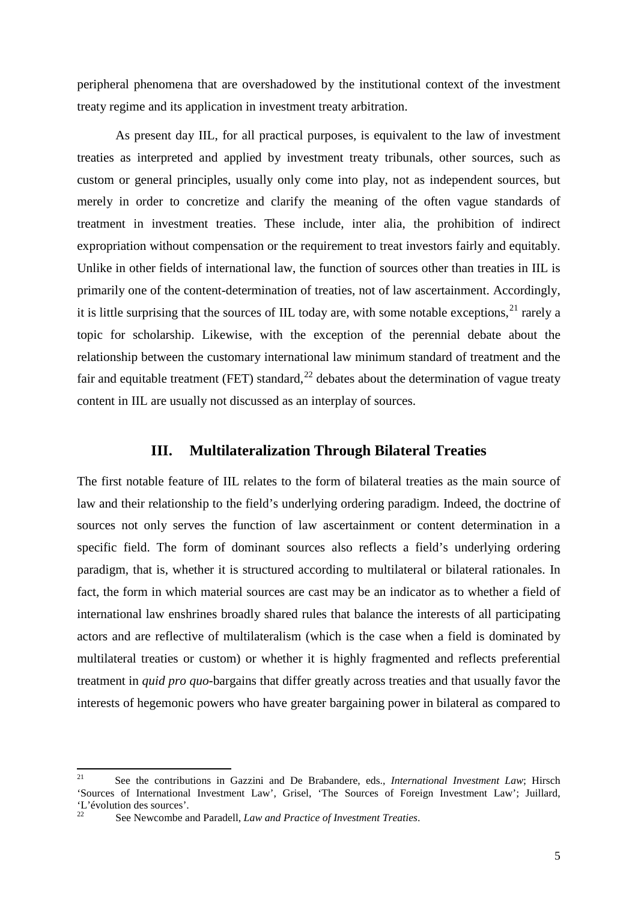peripheral phenomena that are overshadowed by the institutional context of the investment treaty regime and its application in investment treaty arbitration.

As present day IIL, for all practical purposes, is equivalent to the law of investment treaties as interpreted and applied by investment treaty tribunals, other sources, such as custom or general principles, usually only come into play, not as independent sources, but merely in order to concretize and clarify the meaning of the often vague standards of treatment in investment treaties. These include, inter alia, the prohibition of indirect expropriation without compensation or the requirement to treat investors fairly and equitably. Unlike in other fields of international law, the function of sources other than treaties in IIL is primarily one of the content-determination of treaties, not of law ascertainment. Accordingly, it is little surprising that the sources of IIL today are, with some notable exceptions,  $21$  rarely a topic for scholarship. Likewise, with the exception of the perennial debate about the relationship between the customary international law minimum standard of treatment and the fair and equitable treatment (FET) standard,  $^{22}$  $^{22}$  $^{22}$  debates about the determination of vague treaty content in IIL are usually not discussed as an interplay of sources.

#### **III. Multilateralization Through Bilateral Treaties**

The first notable feature of IIL relates to the form of bilateral treaties as the main source of law and their relationship to the field's underlying ordering paradigm. Indeed, the doctrine of sources not only serves the function of law ascertainment or content determination in a specific field. The form of dominant sources also reflects a field's underlying ordering paradigm, that is, whether it is structured according to multilateral or bilateral rationales. In fact, the form in which material sources are cast may be an indicator as to whether a field of international law enshrines broadly shared rules that balance the interests of all participating actors and are reflective of multilateralism (which is the case when a field is dominated by multilateral treaties or custom) or whether it is highly fragmented and reflects preferential treatment in *quid pro quo*-bargains that differ greatly across treaties and that usually favor the interests of hegemonic powers who have greater bargaining power in bilateral as compared to

<span id="page-7-1"></span><span id="page-7-0"></span><sup>&</sup>lt;sup>21</sup> See the contributions in Gazzini and De Brabandere, eds., *International Investment Law*; Hirsch 'Sources of International Investment Law', Grisel, 'The Sources of Foreign Investment Law'; Juillard, L'évolution des sources'.

<sup>22</sup> See Newcombe and Paradell, *Law and Practice of Investment Treaties*.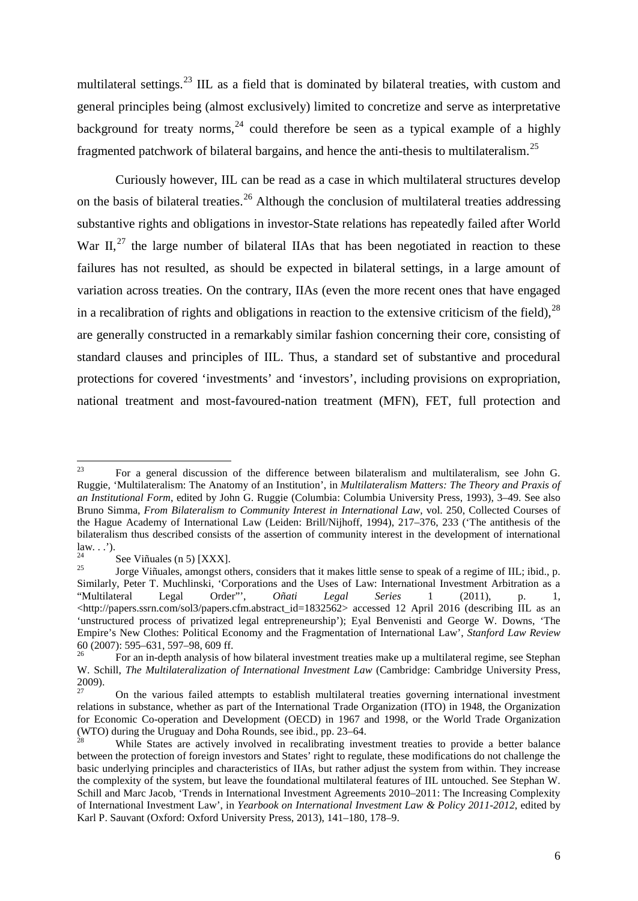multilateral settings.<sup>[23](#page-8-0)</sup> IIL as a field that is dominated by bilateral treaties, with custom and general principles being (almost exclusively) limited to concretize and serve as interpretative background for treaty norms,<sup>[24](#page-8-1)</sup> could therefore be seen as a typical example of a highly fragmented patchwork of bilateral bargains, and hence the anti-thesis to multilateralism.[25](#page-8-2)

Curiously however, IIL can be read as a case in which multilateral structures develop on the basis of bilateral treaties.<sup>[26](#page-8-3)</sup> Although the conclusion of multilateral treaties addressing substantive rights and obligations in investor-State relations has repeatedly failed after World War II, $^{27}$  $^{27}$  $^{27}$  the large number of bilateral IIAs that has been negotiated in reaction to these failures has not resulted, as should be expected in bilateral settings, in a large amount of variation across treaties. On the contrary, IIAs (even the more recent ones that have engaged in a recalibration of rights and obligations in reaction to the extensive criticism of the field),  $28$ are generally constructed in a remarkably similar fashion concerning their core, consisting of standard clauses and principles of IIL. Thus, a standard set of substantive and procedural protections for covered 'investments' and 'investors', including provisions on expropriation, national treatment and most-favoured-nation treatment (MFN), FET, full protection and

<span id="page-8-0"></span><sup>23</sup> For a general discussion of the difference between bilateralism and multilateralism, see John G. Ruggie, 'Multilateralism: The Anatomy of an Institution', in *Multilateralism Matters: The Theory and Praxis of an Institutional Form*, edited by John G. Ruggie (Columbia: Columbia University Press, 1993), 3–49. See also Bruno Simma, *From Bilateralism to Community Interest in International Law*, vol. 250, Collected Courses of the Hague Academy of International Law (Leiden: Brill/Nijhoff, 1994), 217–376, 233 ('The antithesis of the bilateralism thus described consists of the assertion of community interest in the development of international law...').

<span id="page-8-2"></span>

<span id="page-8-1"></span>See Viñuales (n 5) [XXX].<br>
<sup>25</sup> Sorge Viñuales, amongst others, considers that it makes little sense to speak of a regime of IIL; ibid., p. Similarly, Peter T. Muchlinski, 'Corporations and the Uses of Law: International Investment Arbitration as a "Multilateral Legal Order",  $Oñati$  Legal Series 1 (2011), p. 1, "Multilateral Legal Order"', *Oñati Legal Series* 1 (2011), p. 1, [<http://papers.ssrn.com/sol3/papers.cfm.abstract\\_id=1832562>](http://papers.ssrn.com/sol3/papers.cfm.abstract_id=1832562) accessed 12 April 2016 (describing IIL as an 'unstructured process of privatized legal entrepreneurship'); Eyal Benvenisti and George W. Downs, 'The Empire's New Clothes: Political Economy and the Fragmentation of International Law', *Stanford Law Review* 60 (2007): 595–631, 597–98, 609 ff.<br><sup>26</sup> For an in-depth analysis of how bilateral investment treaties make up a multilateral regime, see Stephan

<span id="page-8-3"></span>W. Schill, *The Multilateralization of International Investment Law* (Cambridge: Cambridge University Press,  $\frac{2009}{27}$ .

<span id="page-8-4"></span><sup>27</sup> On the various failed attempts to establish multilateral treaties governing international investment relations in substance, whether as part of the International Trade Organization (ITO) in 1948, the Organization for Economic Co-operation and Development (OECD) in 1967 and 1998, or the World Trade Organization (WTO) during the Uruguay and Doha Rounds, see ibid., pp. 23–64.

<span id="page-8-5"></span>While States are actively involved in recalibrating investment treaties to provide a better balance between the protection of foreign investors and States' right to regulate, these modifications do not challenge the basic underlying principles and characteristics of IIAs, but rather adjust the system from within. They increase the complexity of the system, but leave the foundational multilateral features of IIL untouched. See Stephan W. Schill and Marc Jacob, 'Trends in International Investment Agreements 2010–2011: The Increasing Complexity of International Investment Law', in *Yearbook on International Investment Law & Policy 2011-2012*, edited by Karl P. Sauvant (Oxford: Oxford University Press, 2013), 141–180, 178–9.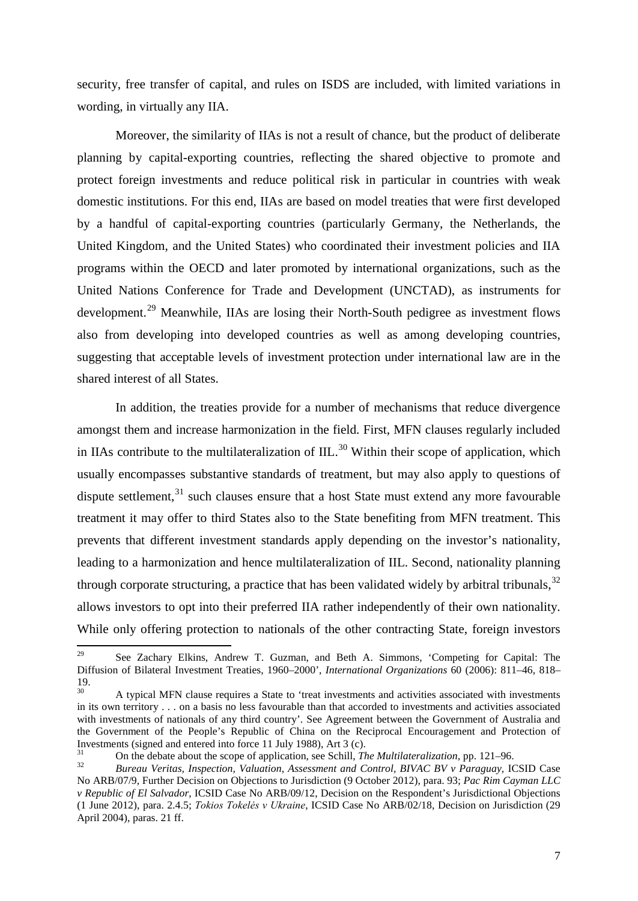security, free transfer of capital, and rules on ISDS are included, with limited variations in wording, in virtually any IIA.

Moreover, the similarity of IIAs is not a result of chance, but the product of deliberate planning by capital-exporting countries, reflecting the shared objective to promote and protect foreign investments and reduce political risk in particular in countries with weak domestic institutions. For this end, IIAs are based on model treaties that were first developed by a handful of capital-exporting countries (particularly Germany, the Netherlands, the United Kingdom, and the United States) who coordinated their investment policies and IIA programs within the OECD and later promoted by international organizations, such as the United Nations Conference for Trade and Development (UNCTAD), as instruments for development.<sup>[29](#page-9-0)</sup> Meanwhile, IIAs are losing their North-South pedigree as investment flows also from developing into developed countries as well as among developing countries, suggesting that acceptable levels of investment protection under international law are in the shared interest of all States.

In addition, the treaties provide for a number of mechanisms that reduce divergence amongst them and increase harmonization in the field. First, MFN clauses regularly included in IIAs contribute to the multilateralization of  $III<sup>30</sup>$  $III<sup>30</sup>$  $III<sup>30</sup>$  Within their scope of application, which usually encompasses substantive standards of treatment, but may also apply to questions of dispute settlement, $31$  such clauses ensure that a host State must extend any more favourable treatment it may offer to third States also to the State benefiting from MFN treatment. This prevents that different investment standards apply depending on the investor's nationality, leading to a harmonization and hence multilateralization of IIL. Second, nationality planning through corporate structuring, a practice that has been validated widely by arbitral tribunals.<sup>[32](#page-9-3)</sup> allows investors to opt into their preferred IIA rather independently of their own nationality. While only offering protection to nationals of the other contracting State, foreign investors

<span id="page-9-0"></span><sup>&</sup>lt;sup>29</sup> See Zachary Elkins, Andrew T. Guzman, and Beth A. Simmons, 'Competing for Capital: The Diffusion of Bilateral Investment Treaties, 1960–2000', *International Organizations* 60 (2006): 811–46, 818–  $\frac{19}{30}$ .

<span id="page-9-1"></span><sup>30</sup> A typical MFN clause requires a State to 'treat investments and activities associated with investments in its own territory . . . on a basis no less favourable than that accorded to investments and activities associated with investments of nationals of any third country'. See Agreement between the Government of Australia and the Government of the People's Republic of China on the Reciprocal Encouragement and Protection of Investments (signed and entered into force 11 July 1988), Art 3 (c).

<span id="page-9-2"></span><sup>&</sup>lt;sup>31</sup> On the debate about the scope of application, see Schill, *The Multilateralization*, pp. 121–96.<br>Bureau Veritas, *Inspection, Valuation, Assessment and Control, BIVAC BV v Paraguay, ICSID Case* 

<span id="page-9-3"></span>No ARB/07/9, Further Decision on Objections to Jurisdiction (9 October 2012), para. 93; *Pac Rim Cayman LLC v Republic of El Salvador*, ICSID Case No ARB/09/12, Decision on the Respondent's Jurisdictional Objections (1 June 2012), para. 2.4.5; *Tokios Tokelės v Ukraine*, ICSID Case No ARB/02/18, Decision on Jurisdiction (29 April 2004), paras. 21 ff.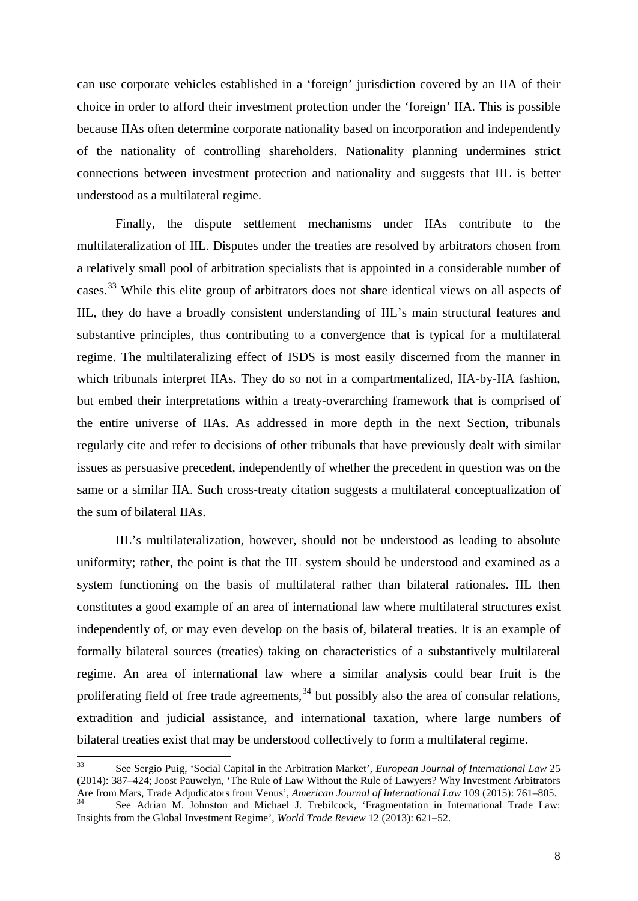can use corporate vehicles established in a 'foreign' jurisdiction covered by an IIA of their choice in order to afford their investment protection under the 'foreign' IIA. This is possible because IIAs often determine corporate nationality based on incorporation and independently of the nationality of controlling shareholders. Nationality planning undermines strict connections between investment protection and nationality and suggests that IIL is better understood as a multilateral regime.

Finally, the dispute settlement mechanisms under IIAs contribute to the multilateralization of IIL. Disputes under the treaties are resolved by arbitrators chosen from a relatively small pool of arbitration specialists that is appointed in a considerable number of cases.<sup>[33](#page-10-0)</sup> While this elite group of arbitrators does not share identical views on all aspects of IIL, they do have a broadly consistent understanding of IIL's main structural features and substantive principles, thus contributing to a convergence that is typical for a multilateral regime. The multilateralizing effect of ISDS is most easily discerned from the manner in which tribunals interpret IIAs. They do so not in a compartmentalized, IIA-by-IIA fashion, but embed their interpretations within a treaty-overarching framework that is comprised of the entire universe of IIAs. As addressed in more depth in the next Section, tribunals regularly cite and refer to decisions of other tribunals that have previously dealt with similar issues as persuasive precedent, independently of whether the precedent in question was on the same or a similar IIA. Such cross-treaty citation suggests a multilateral conceptualization of the sum of bilateral IIAs.

IIL's multilateralization, however, should not be understood as leading to absolute uniformity; rather, the point is that the IIL system should be understood and examined as a system functioning on the basis of multilateral rather than bilateral rationales. IIL then constitutes a good example of an area of international law where multilateral structures exist independently of, or may even develop on the basis of, bilateral treaties. It is an example of formally bilateral sources (treaties) taking on characteristics of a substantively multilateral regime. An area of international law where a similar analysis could bear fruit is the proliferating field of free trade agreements,  $34$  but possibly also the area of consular relations, extradition and judicial assistance, and international taxation, where large numbers of bilateral treaties exist that may be understood collectively to form a multilateral regime.

<span id="page-10-0"></span><sup>33</sup> See Sergio Puig, 'Social Capital in the Arbitration Market', *European Journal of International Law* <sup>25</sup> (2014): 387–424; Joost Pauwelyn, 'The Rule of Law Without the Rule of Lawyers? Why Investment Arbitrators<br>Are from Mars, Trade Adjudicators from Venus', American Journal of International Law 109 (2015): 761–805.

<span id="page-10-1"></span>See Adrian M. Johnston and Michael J. Trebilcock, 'Fragmentation in International Trade Law: Insights from the Global Investment Regime', *World Trade Review* 12 (2013): 621–52.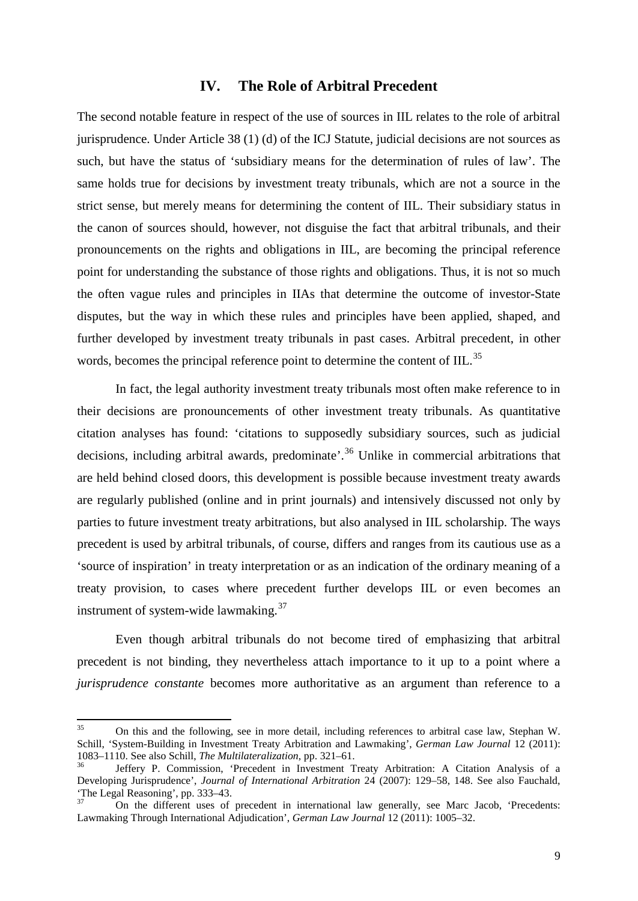#### **IV. The Role of Arbitral Precedent**

The second notable feature in respect of the use of sources in IIL relates to the role of arbitral jurisprudence. Under Article 38 (1) (d) of the ICJ Statute, judicial decisions are not sources as such, but have the status of 'subsidiary means for the determination of rules of law'. The same holds true for decisions by investment treaty tribunals, which are not a source in the strict sense, but merely means for determining the content of IIL. Their subsidiary status in the canon of sources should, however, not disguise the fact that arbitral tribunals, and their pronouncements on the rights and obligations in IIL, are becoming the principal reference point for understanding the substance of those rights and obligations. Thus, it is not so much the often vague rules and principles in IIAs that determine the outcome of investor-State disputes, but the way in which these rules and principles have been applied, shaped, and further developed by investment treaty tribunals in past cases. Arbitral precedent, in other words, becomes the principal reference point to determine the content of IIL.<sup>[35](#page-11-0)</sup>

In fact, the legal authority investment treaty tribunals most often make reference to in their decisions are pronouncements of other investment treaty tribunals. As quantitative citation analyses has found: 'citations to supposedly subsidiary sources, such as judicial decisions, including arbitral awards, predominate<sup>'</sup>.<sup>[36](#page-11-1)</sup> Unlike in commercial arbitrations that are held behind closed doors, this development is possible because investment treaty awards are regularly published (online and in print journals) and intensively discussed not only by parties to future investment treaty arbitrations, but also analysed in IIL scholarship. The ways precedent is used by arbitral tribunals, of course, differs and ranges from its cautious use as a 'source of inspiration' in treaty interpretation or as an indication of the ordinary meaning of a treaty provision, to cases where precedent further develops IIL or even becomes an instrument of system-wide lawmaking. $37$ 

Even though arbitral tribunals do not become tired of emphasizing that arbitral precedent is not binding, they nevertheless attach importance to it up to a point where a *jurisprudence constante* becomes more authoritative as an argument than reference to a

<span id="page-11-0"></span><sup>&</sup>lt;sup>35</sup> On this and the following, see in more detail, including references to arbitral case law, Stephan W. Schill, 'System-Building in Investment Treaty Arbitration and Lawmaking', *German Law Journal* 12 (2011): 1083–1110. See also Schill, *The Multilateralization*, pp. 321–61.

<span id="page-11-1"></span>Jeffery P. Commission, 'Precedent in Investment Treaty Arbitration: A Citation Analysis of a Developing Jurisprudence', *Journal of International Arbitration* 24 (2007): 129–58, 148. See also Fauchald, 'The Legal Reasoning', pp. 333–43.

<span id="page-11-2"></span>On the different uses of precedent in international law generally, see Marc Jacob, 'Precedents: Lawmaking Through International Adjudication', *German Law Journal* 12 (2011): 1005–32.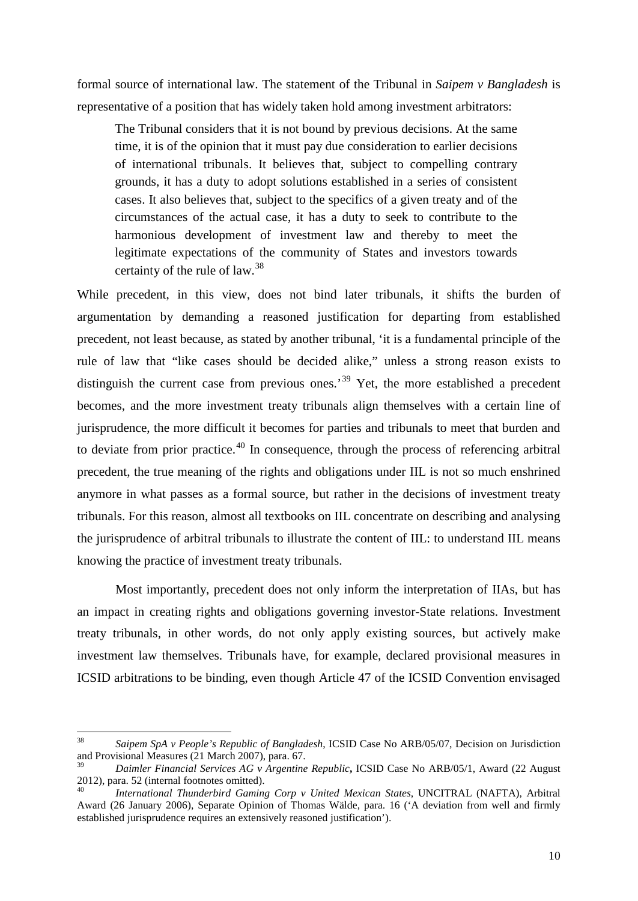formal source of international law. The statement of the Tribunal in *Saipem v Bangladesh* is representative of a position that has widely taken hold among investment arbitrators:

The Tribunal considers that it is not bound by previous decisions. At the same time, it is of the opinion that it must pay due consideration to earlier decisions of international tribunals. It believes that, subject to compelling contrary grounds, it has a duty to adopt solutions established in a series of consistent cases. It also believes that, subject to the specifics of a given treaty and of the circumstances of the actual case, it has a duty to seek to contribute to the harmonious development of investment law and thereby to meet the legitimate expectations of the community of States and investors towards certainty of the rule of law.[38](#page-12-0)

While precedent, in this view, does not bind later tribunals, it shifts the burden of argumentation by demanding a reasoned justification for departing from established precedent, not least because, as stated by another tribunal, 'it is a fundamental principle of the rule of law that "like cases should be decided alike," unless a strong reason exists to distinguish the current case from previous ones.<sup>[39](#page-12-1)</sup> Yet, the more established a precedent becomes, and the more investment treaty tribunals align themselves with a certain line of jurisprudence, the more difficult it becomes for parties and tribunals to meet that burden and to deviate from prior practice.<sup>[40](#page-12-2)</sup> In consequence, through the process of referencing arbitral precedent, the true meaning of the rights and obligations under IIL is not so much enshrined anymore in what passes as a formal source, but rather in the decisions of investment treaty tribunals. For this reason, almost all textbooks on IIL concentrate on describing and analysing the jurisprudence of arbitral tribunals to illustrate the content of IIL: to understand IIL means knowing the practice of investment treaty tribunals.

Most importantly, precedent does not only inform the interpretation of IIAs, but has an impact in creating rights and obligations governing investor-State relations. Investment treaty tribunals, in other words, do not only apply existing sources, but actively make investment law themselves. Tribunals have, for example, declared provisional measures in ICSID arbitrations to be binding, even though Article 47 of the ICSID Convention envisaged

<span id="page-12-0"></span><sup>38</sup> *Saipem SpA v People's Republic of Bangladesh*, ICSID Case No ARB/05/07, Decision on Jurisdiction and Provisional Measures (21 March 2007), para. 67.

<span id="page-12-1"></span><sup>39</sup> *Daimler Financial Services AG v Argentine Republic***,** ICSID Case No ARB/05/1, Award (22 August 2012), para. 52 (internal footnotes omitted). <sup>40</sup> *International Thunderbird Gaming Corp v United Mexican States*, UNCITRAL (NAFTA), Arbitral

<span id="page-12-2"></span>Award (26 January 2006), Separate Opinion of Thomas Wälde, para. 16 ('A deviation from well and firmly established jurisprudence requires an extensively reasoned justification').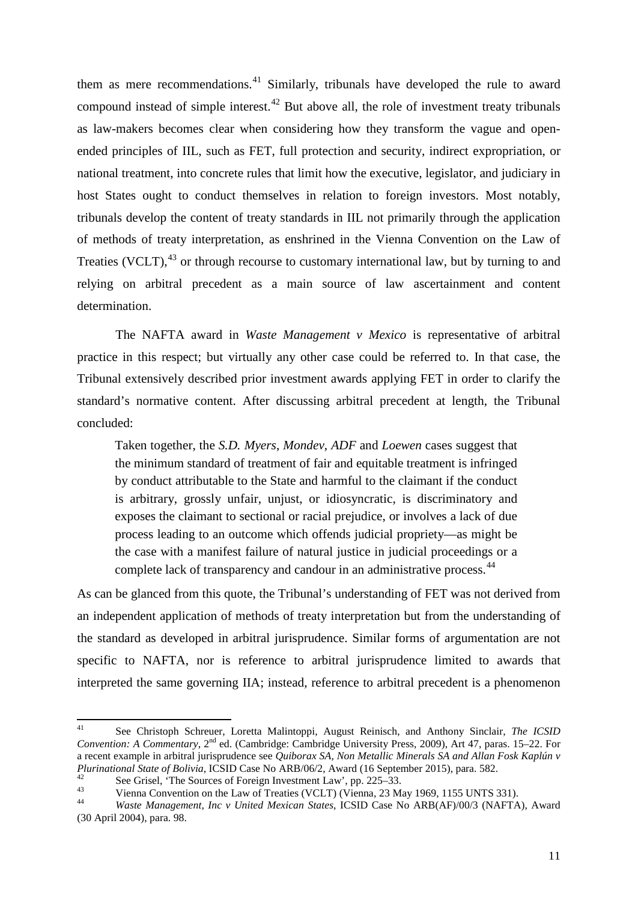them as mere recommendations.<sup>[41](#page-13-0)</sup> Similarly, tribunals have developed the rule to award compound instead of simple interest.<sup>[42](#page-13-1)</sup> But above all, the role of investment treaty tribunals as law-makers becomes clear when considering how they transform the vague and openended principles of IIL, such as FET, full protection and security, indirect expropriation, or national treatment, into concrete rules that limit how the executive, legislator, and judiciary in host States ought to conduct themselves in relation to foreign investors. Most notably, tribunals develop the content of treaty standards in IIL not primarily through the application of methods of treaty interpretation, as enshrined in the Vienna Convention on the Law of Treaties (VCLT),<sup>[43](#page-13-2)</sup> or through recourse to customary international law, but by turning to and relying on arbitral precedent as a main source of law ascertainment and content determination.

The NAFTA award in *Waste Management v Mexico* is representative of arbitral practice in this respect; but virtually any other case could be referred to. In that case, the Tribunal extensively described prior investment awards applying FET in order to clarify the standard's normative content. After discussing arbitral precedent at length, the Tribunal concluded:

Taken together, the *S.D. Myers*, *Mondev*, *ADF* and *Loewen* cases suggest that the minimum standard of treatment of fair and equitable treatment is infringed by conduct attributable to the State and harmful to the claimant if the conduct is arbitrary, grossly unfair, unjust, or idiosyncratic, is discriminatory and exposes the claimant to sectional or racial prejudice, or involves a lack of due process leading to an outcome which offends judicial propriety—as might be the case with a manifest failure of natural justice in judicial proceedings or a complete lack of transparency and candour in an administrative process.<sup>[44](#page-13-3)</sup>

As can be glanced from this quote, the Tribunal's understanding of FET was not derived from an independent application of methods of treaty interpretation but from the understanding of the standard as developed in arbitral jurisprudence. Similar forms of argumentation are not specific to NAFTA, nor is reference to arbitral jurisprudence limited to awards that interpreted the same governing IIA; instead, reference to arbitral precedent is a phenomenon

<span id="page-13-0"></span><sup>41</sup> See Christoph Schreuer, Loretta Malintoppi, August Reinisch, and Anthony Sinclair, *The ICSID Convention: A Commentary*, 2nd ed. (Cambridge: Cambridge University Press, 2009), Art 47, paras. 15–22. For a recent example in arbitral jurisprudence see *Quiborax SA, Non Metallic Minerals SA and Allan Fosk Kaplún v* 

<span id="page-13-2"></span>

<span id="page-13-1"></span><sup>&</sup>lt;sup>42</sup><br>See Grisel, 'The Sources of Foreign Investment Law', pp. 225–33.<br>Vienna Convention on the Law of Treaties (VCLT) (Vienna, 23 May 1969, 1155 UNTS 331).<br>Waste Management, Inc v United Mexican States, ICSID Case No ARB(A

<span id="page-13-3"></span><sup>(30</sup> April 2004), para. 98.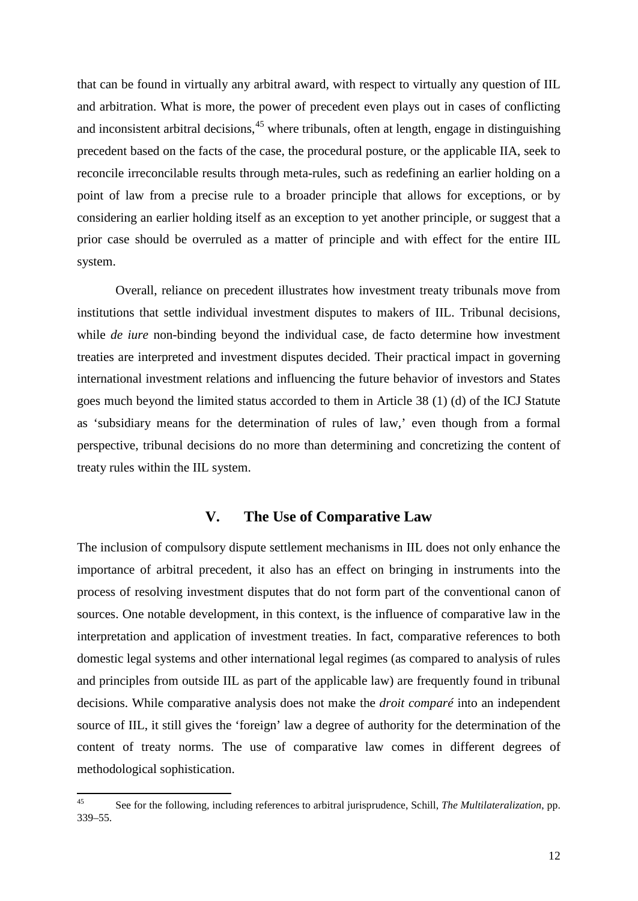that can be found in virtually any arbitral award, with respect to virtually any question of IIL and arbitration. What is more, the power of precedent even plays out in cases of conflicting and inconsistent arbitral decisions,  $45$  where tribunals, often at length, engage in distinguishing precedent based on the facts of the case, the procedural posture, or the applicable IIA, seek to reconcile irreconcilable results through meta-rules, such as redefining an earlier holding on a point of law from a precise rule to a broader principle that allows for exceptions, or by considering an earlier holding itself as an exception to yet another principle, or suggest that a prior case should be overruled as a matter of principle and with effect for the entire IIL system.

Overall, reliance on precedent illustrates how investment treaty tribunals move from institutions that settle individual investment disputes to makers of IIL. Tribunal decisions, while *de iure* non-binding beyond the individual case, de facto determine how investment treaties are interpreted and investment disputes decided. Their practical impact in governing international investment relations and influencing the future behavior of investors and States goes much beyond the limited status accorded to them in Article 38 (1) (d) of the ICJ Statute as 'subsidiary means for the determination of rules of law,' even though from a formal perspective, tribunal decisions do no more than determining and concretizing the content of treaty rules within the IIL system.

### **V. The Use of Comparative Law**

The inclusion of compulsory dispute settlement mechanisms in IIL does not only enhance the importance of arbitral precedent, it also has an effect on bringing in instruments into the process of resolving investment disputes that do not form part of the conventional canon of sources. One notable development, in this context, is the influence of comparative law in the interpretation and application of investment treaties. In fact, comparative references to both domestic legal systems and other international legal regimes (as compared to analysis of rules and principles from outside IIL as part of the applicable law) are frequently found in tribunal decisions. While comparative analysis does not make the *droit comparé* into an independent source of IIL, it still gives the 'foreign' law a degree of authority for the determination of the content of treaty norms. The use of comparative law comes in different degrees of methodological sophistication.

<span id="page-14-0"></span><sup>45</sup> See for the following, including references to arbitral jurisprudence, Schill, *The Multilateralization*, pp. 339–55.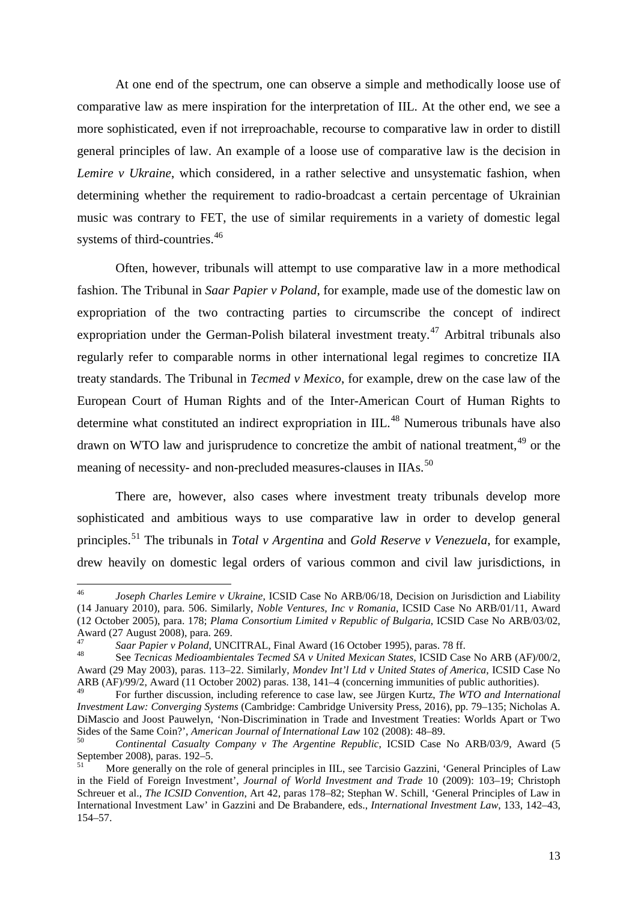At one end of the spectrum, one can observe a simple and methodically loose use of comparative law as mere inspiration for the interpretation of IIL. At the other end, we see a more sophisticated, even if not irreproachable, recourse to comparative law in order to distill general principles of law. An example of a loose use of comparative law is the decision in *Lemire v Ukraine*, which considered, in a rather selective and unsystematic fashion, when determining whether the requirement to radio-broadcast a certain percentage of Ukrainian music was contrary to FET, the use of similar requirements in a variety of domestic legal systems of third-countries.<sup>[46](#page-15-0)</sup>

Often, however, tribunals will attempt to use comparative law in a more methodical fashion. The Tribunal in *Saar Papier v Poland*, for example, made use of the domestic law on expropriation of the two contracting parties to circumscribe the concept of indirect expropriation under the German-Polish bilateral investment treaty.<sup>[47](#page-15-1)</sup> Arbitral tribunals also regularly refer to comparable norms in other international legal regimes to concretize IIA treaty standards. The Tribunal in *Tecmed v Mexico*, for example, drew on the case law of the European Court of Human Rights and of the Inter-American Court of Human Rights to determine what constituted an indirect expropriation in IIL.<sup>[48](#page-15-2)</sup> Numerous tribunals have also drawn on WTO law and jurisprudence to concretize the ambit of national treatment, <sup>[49](#page-15-3)</sup> or the meaning of necessity- and non-precluded measures-clauses in IIAs.<sup>[50](#page-15-4)</sup>

There are, however, also cases where investment treaty tribunals develop more sophisticated and ambitious ways to use comparative law in order to develop general principles. [51](#page-15-5) The tribunals in *Total v Argentina* and *Gold Reserve v Venezuela*, for example, drew heavily on domestic legal orders of various common and civil law jurisdictions, in

<span id="page-15-0"></span><sup>46</sup> *Joseph Charles Lemire v Ukraine*, ICSID Case No ARB/06/18, Decision on Jurisdiction and Liability (14 January 2010), para. 506. Similarly, *Noble Ventures, Inc v Romania*, ICSID Case No ARB/01/11, Award (12 October 2005), para. 178; *Plama Consortium Limited v Republic of Bulgaria*, ICSID Case No ARB/03/02, Award (27 August 2008), para. 269.<br>
<sup>47</sup> Saar Papier v Poland, UNCITRAL, Final Award (16 October 1995), paras. 78 ff.<br>
<sup>48</sup> See Tecnicas Medioambientales Tecmed SA v United Mexican States, ICSID Case No ARB (AF)/00/2,

<span id="page-15-2"></span><span id="page-15-1"></span>Award (29 May 2003), paras. 113–22. Similarly, *Mondev Int'l Ltd v United States of America*, ICSID Case No ARB (AF)/99/2, Award (11 October 2002) paras. 138, 141–4 (concerning immunities of public authorities).

<span id="page-15-3"></span><sup>49</sup> For further discussion, including reference to case law, see Jürgen Kurtz, *The WTO and International Investment Law: Converging Systems* (Cambridge: Cambridge University Press, 2016), pp. 79–135; Nicholas A. DiMascio and Joost Pauwelyn, 'Non-Discrimination in Trade and Investment Treaties: Worlds Apart or Two

<span id="page-15-4"></span>Sides of the Same Coin?', *American Journal of International Law* 102 (2008): 48–89.<br><sup>50</sup> *Continental Casualty Company v The Argentine Republic*, ICSID Case No ARB/03/9, Award (5<br>September 2008), paras. 192–5.

<span id="page-15-5"></span>More generally on the role of general principles in IIL, see Tarcisio Gazzini, 'General Principles of Law in the Field of Foreign Investment', *Journal of World Investment and Trade* 10 (2009): 103–19; Christoph Schreuer et al., *The ICSID Convention*, Art 42, paras 178–82; Stephan W. Schill, 'General Principles of Law in International Investment Law' in Gazzini and De Brabandere, eds., *International Investment Law*, 133, 142–43, 154–57.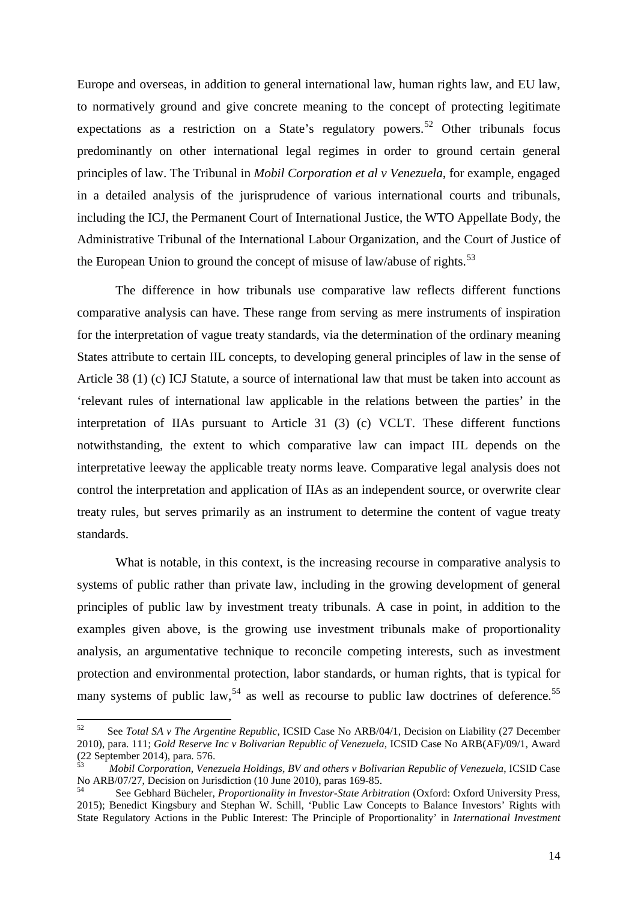Europe and overseas, in addition to general international law, human rights law, and EU law, to normatively ground and give concrete meaning to the concept of protecting legitimate expectations as a restriction on a State's regulatory powers.<sup>[52](#page-16-0)</sup> Other tribunals focus predominantly on other international legal regimes in order to ground certain general principles of law. The Tribunal in *Mobil Corporation et al v Venezuela*, for example, engaged in a detailed analysis of the jurisprudence of various international courts and tribunals, including the ICJ, the Permanent Court of International Justice, the WTO Appellate Body, the Administrative Tribunal of the International Labour Organization, and the Court of Justice of the European Union to ground the concept of misuse of law/abuse of rights.<sup>[53](#page-16-1)</sup>

The difference in how tribunals use comparative law reflects different functions comparative analysis can have. These range from serving as mere instruments of inspiration for the interpretation of vague treaty standards, via the determination of the ordinary meaning States attribute to certain IIL concepts, to developing general principles of law in the sense of Article 38 (1) (c) ICJ Statute, a source of international law that must be taken into account as 'relevant rules of international law applicable in the relations between the parties' in the interpretation of IIAs pursuant to Article 31 (3) (c) VCLT. These different functions notwithstanding, the extent to which comparative law can impact IIL depends on the interpretative leeway the applicable treaty norms leave. Comparative legal analysis does not control the interpretation and application of IIAs as an independent source, or overwrite clear treaty rules, but serves primarily as an instrument to determine the content of vague treaty standards.

What is notable, in this context, is the increasing recourse in comparative analysis to systems of public rather than private law, including in the growing development of general principles of public law by investment treaty tribunals. A case in point, in addition to the examples given above, is the growing use investment tribunals make of proportionality analysis, an argumentative technique to reconcile competing interests, such as investment protection and environmental protection, labor standards, or human rights, that is typical for many systems of public law,<sup>[54](#page-16-2)</sup> as well as recourse to public law doctrines of deference.<sup>[55](#page-16-3)</sup>

<span id="page-16-3"></span><span id="page-16-0"></span><sup>52</sup> See *Total SA v The Argentine Republic*, ICSID Case No ARB/04/1, Decision on Liability (27 December 2010), para. 111; *Gold Reserve Inc v Bolivarian Republic of Venezuela*, ICSID Case No ARB(AF)/09/1, Award

<span id="page-16-1"></span>Mobil Corporation, Venezuela Holdings, BV and others v Bolivarian Republic of Venezuela, ICSID Case No ARB/07/27, Decision on Jurisdiction (10 June 2010), paras 169-85.<br><sup>54</sup> See Gebhard Bücheler, *Proportionality in Investor-State Arbitration* (Oxford: Oxford University Press,

<span id="page-16-2"></span><sup>2015);</sup> Benedict Kingsbury and Stephan W. Schill, 'Public Law Concepts to Balance Investors' Rights with State Regulatory Actions in the Public Interest: The Principle of Proportionality' in *International Investment*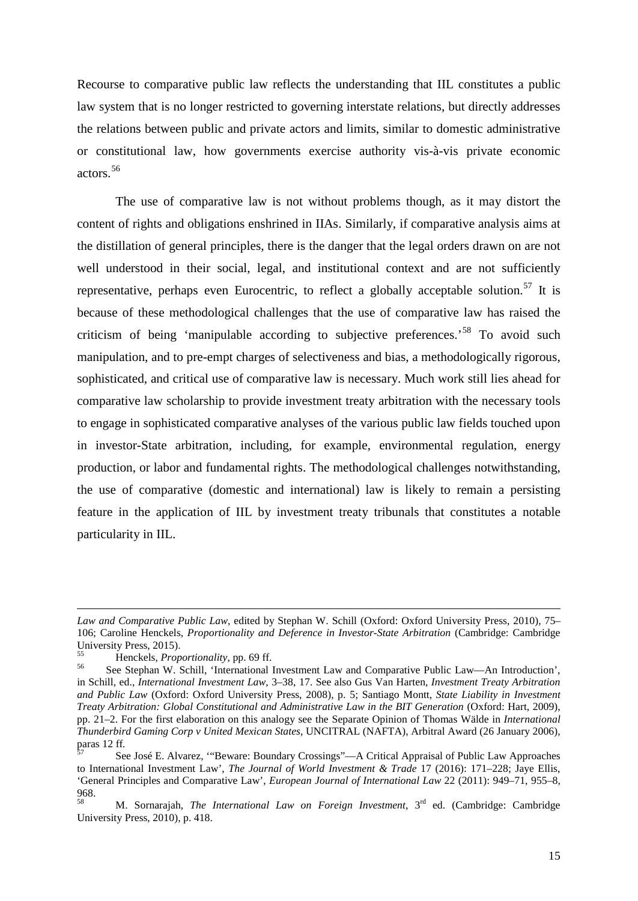Recourse to comparative public law reflects the understanding that IIL constitutes a public law system that is no longer restricted to governing interstate relations, but directly addresses the relations between public and private actors and limits, similar to domestic administrative or constitutional law, how governments exercise authority vis-à-vis private economic actors. [56](#page-17-0)

The use of comparative law is not without problems though, as it may distort the content of rights and obligations enshrined in IIAs. Similarly, if comparative analysis aims at the distillation of general principles, there is the danger that the legal orders drawn on are not well understood in their social, legal, and institutional context and are not sufficiently representative, perhaps even Eurocentric, to reflect a globally acceptable solution.<sup>[57](#page-17-1)</sup> It is because of these methodological challenges that the use of comparative law has raised the criticism of being 'manipulable according to subjective preferences.<sup>[58](#page-17-2)</sup> To avoid such manipulation, and to pre-empt charges of selectiveness and bias, a methodologically rigorous, sophisticated, and critical use of comparative law is necessary. Much work still lies ahead for comparative law scholarship to provide investment treaty arbitration with the necessary tools to engage in sophisticated comparative analyses of the various public law fields touched upon in investor-State arbitration, including, for example, environmental regulation, energy production, or labor and fundamental rights. The methodological challenges notwithstanding, the use of comparative (domestic and international) law is likely to remain a persisting feature in the application of IIL by investment treaty tribunals that constitutes a notable particularity in IIL.

**.** 

*Law and Comparative Public Law*, edited by Stephan W. Schill (Oxford: Oxford University Press, 2010), 75– 106; Caroline Henckels, *Proportionality and Deference in Investor-State Arbitration* (Cambridge: Cambridge University Press, 2015).<br><sup>55</sup> Henckels, *Proportionality*, pp. 69 ff.<br><sup>56</sup> See Stephan W. Schill, 'International Investment Law and Comparative Public Law—An Introduction',

<span id="page-17-0"></span>in Schill, ed., *International Investment Law*, 3–38, 17. See also Gus Van Harten, *Investment Treaty Arbitration and Public Law* (Oxford: Oxford University Press, 2008), p. 5; Santiago Montt, *State Liability in Investment Treaty Arbitration: Global Constitutional and Administrative Law in the BIT Generation* (Oxford: Hart, 2009), pp. 21–2. For the first elaboration on this analogy see the Separate Opinion of Thomas Wälde in *International Thunderbird Gaming Corp v United Mexican States*, UNCITRAL (NAFTA), Arbitral Award (26 January 2006),

<span id="page-17-1"></span>paras 12 ff*.* <sup>57</sup> See José E. Alvarez, '"Beware: Boundary Crossings"—A Critical Appraisal of Public Law Approaches to International Investment Law', *The Journal of World Investment & Trade* 17 (2016): 171–228; Jaye Ellis, 'General Principles and Comparative Law', *European Journal of International Law* 22 (2011): 949–71, 955–8, 968.

<span id="page-17-2"></span><sup>58</sup> M. Sornarajah, *The International Law on Foreign Investment*, 3rd ed. (Cambridge: Cambridge University Press, 2010), p. 418.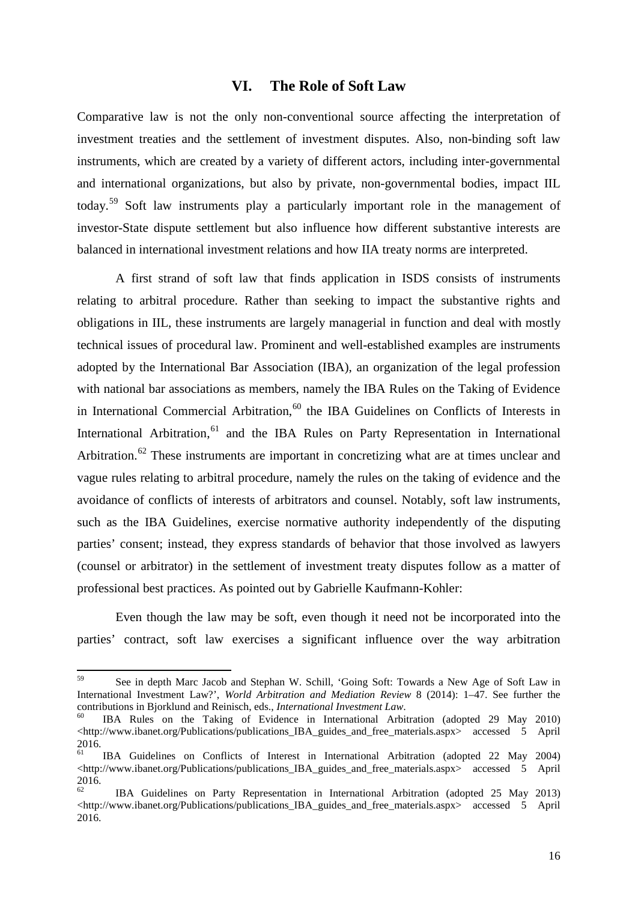#### **VI. The Role of Soft Law**

Comparative law is not the only non-conventional source affecting the interpretation of investment treaties and the settlement of investment disputes. Also, non-binding soft law instruments, which are created by a variety of different actors, including inter-governmental and international organizations, but also by private, non-governmental bodies, impact IIL today.[59](#page-18-0) Soft law instruments play a particularly important role in the management of investor-State dispute settlement but also influence how different substantive interests are balanced in international investment relations and how IIA treaty norms are interpreted.

A first strand of soft law that finds application in ISDS consists of instruments relating to arbitral procedure. Rather than seeking to impact the substantive rights and obligations in IIL, these instruments are largely managerial in function and deal with mostly technical issues of procedural law. Prominent and well-established examples are instruments adopted by the International Bar Association (IBA), an organization of the legal profession with national bar associations as members, namely the IBA Rules on the Taking of Evidence in International Commercial Arbitration, $60$  the IBA Guidelines on Conflicts of Interests in International Arbitration, <sup>[61](#page-18-2)</sup> and the IBA Rules on Party Representation in International Arbitration.<sup>[62](#page-18-3)</sup> These instruments are important in concretizing what are at times unclear and vague rules relating to arbitral procedure, namely the rules on the taking of evidence and the avoidance of conflicts of interests of arbitrators and counsel. Notably, soft law instruments, such as the IBA Guidelines, exercise normative authority independently of the disputing parties' consent; instead, they express standards of behavior that those involved as lawyers (counsel or arbitrator) in the settlement of investment treaty disputes follow as a matter of professional best practices. As pointed out by Gabrielle Kaufmann-Kohler:

Even though the law may be soft, even though it need not be incorporated into the parties' contract, soft law exercises a significant influence over the way arbitration

<span id="page-18-0"></span><sup>59</sup> See in depth Marc Jacob and Stephan W. Schill, 'Going Soft: Towards a New Age of Soft Law in International Investment Law?', *World Arbitration and Mediation Review* 8 (2014): 1–47. See further the

<span id="page-18-1"></span>IBA Rules on the Taking of Evidence in International Arbitration (adopted 29 May 2010) <http://www.ibanet.org/Publications/publications\_IBA\_guides\_and\_free\_materials.aspx> accessed 5 April 2016.<br><sup>61</sup> IBA Guidelines on Conflicts of Interest in International Arbitration (adopted 22 May 2004)

<span id="page-18-2"></span> $\lt$ http://www.ibanet.org/Publications/publications IBA guides and free materials.aspx> accessed 5 April 2016.<br><sup>62</sup> IBA Guidelines on Party Representation in International Arbitration (adopted 25 May 2013)

<span id="page-18-3"></span>[<sup>&</sup>lt;http://www.ibanet.org/Publications/publications\\_IBA\\_guides\\_and\\_free\\_materials.aspx>](http://www.ibanet.org/Publications/publications_IBA_guides_and_free_materials.aspx) accessed 5 April 2016.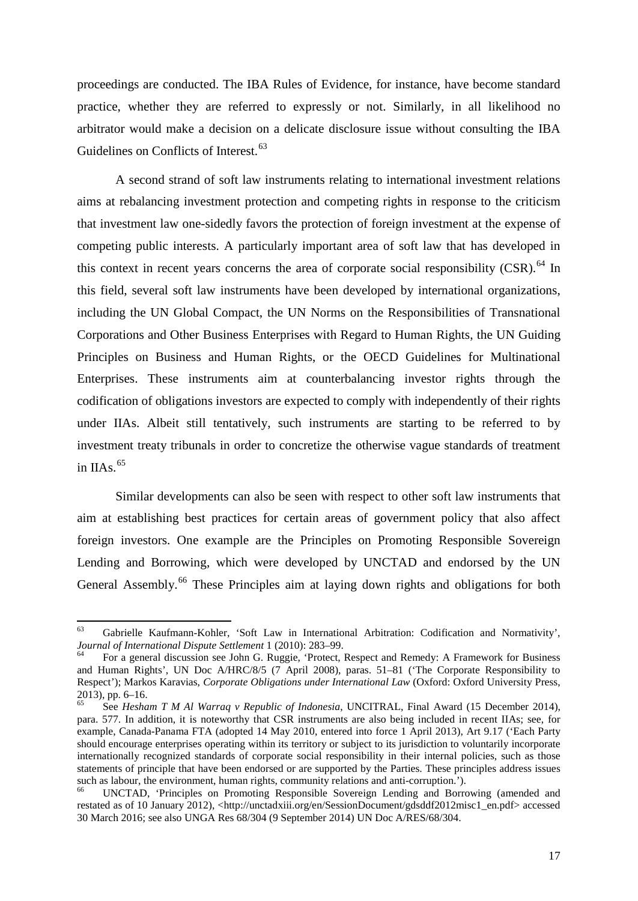proceedings are conducted. The IBA Rules of Evidence, for instance, have become standard practice, whether they are referred to expressly or not. Similarly, in all likelihood no arbitrator would make a decision on a delicate disclosure issue without consulting the IBA Guidelines on Conflicts of Interest.<sup>[63](#page-19-0)</sup>

A second strand of soft law instruments relating to international investment relations aims at rebalancing investment protection and competing rights in response to the criticism that investment law one-sidedly favors the protection of foreign investment at the expense of competing public interests. A particularly important area of soft law that has developed in this context in recent years concerns the area of corporate social responsibility  $(CSR)$ .<sup>[64](#page-19-1)</sup> In this field, several soft law instruments have been developed by international organizations, including the UN Global Compact, the UN Norms on the Responsibilities of Transnational Corporations and Other Business Enterprises with Regard to Human Rights, the UN Guiding Principles on Business and Human Rights, or the OECD Guidelines for Multinational Enterprises. These instruments aim at counterbalancing investor rights through the codification of obligations investors are expected to comply with independently of their rights under IIAs. Albeit still tentatively, such instruments are starting to be referred to by investment treaty tribunals in order to concretize the otherwise vague standards of treatment in IIAs. $65$ 

Similar developments can also be seen with respect to other soft law instruments that aim at establishing best practices for certain areas of government policy that also affect foreign investors. One example are the Principles on Promoting Responsible Sovereign Lending and Borrowing, which were developed by UNCTAD and endorsed by the UN General Assembly.<sup>[66](#page-19-3)</sup> These Principles aim at laying down rights and obligations for both

<span id="page-19-0"></span><sup>&</sup>lt;sup>63</sup> Gabrielle Kaufmann-Kohler, 'Soft Law in International Arbitration: Codification and Normativity', *Journal of International Dispute Settlement* 1 (2010): 283–99.

<span id="page-19-1"></span>For a general discussion see John G. Ruggie, 'Protect, Respect and Remedy: A Framework for Business and Human Rights', UN Doc A/HRC/8/5 (7 April 2008), paras. 51–81 ('The Corporate Responsibility to Respect'); Markos Karavias, *Corporate Obligations under International Law* (Oxford: Oxford University Press, 2013), pp. 6–16.<br><sup>65</sup> See *Hesham T M Al Warraq v Republic of Indonesia*, UNCITRAL, Final Award (15 December 2014),

<span id="page-19-2"></span>para. 577. In addition, it is noteworthy that CSR instruments are also being included in recent IIAs; see, for example, Canada-Panama FTA (adopted 14 May 2010, entered into force 1 April 2013), Art 9.17 ('Each Party should encourage enterprises operating within its territory or subject to its jurisdiction to voluntarily incorporate internationally recognized standards of corporate social responsibility in their internal policies, such as those statements of principle that have been endorsed or are supported by the Parties. These principles address issues such as labour, the environment, human rights, community relations and anti-corruption.').

<span id="page-19-3"></span>UNCTAD, 'Principles on Promoting Responsible Sovereign Lending and Borrowing (amended and restated as of 10 January 2012), <http://unctadxiii.org/en/SessionDocument/gdsddf2012misc1\_en.pdf> accessed 30 March 2016; see also UNGA Res 68/304 (9 September 2014) UN Doc A/RES/68/304.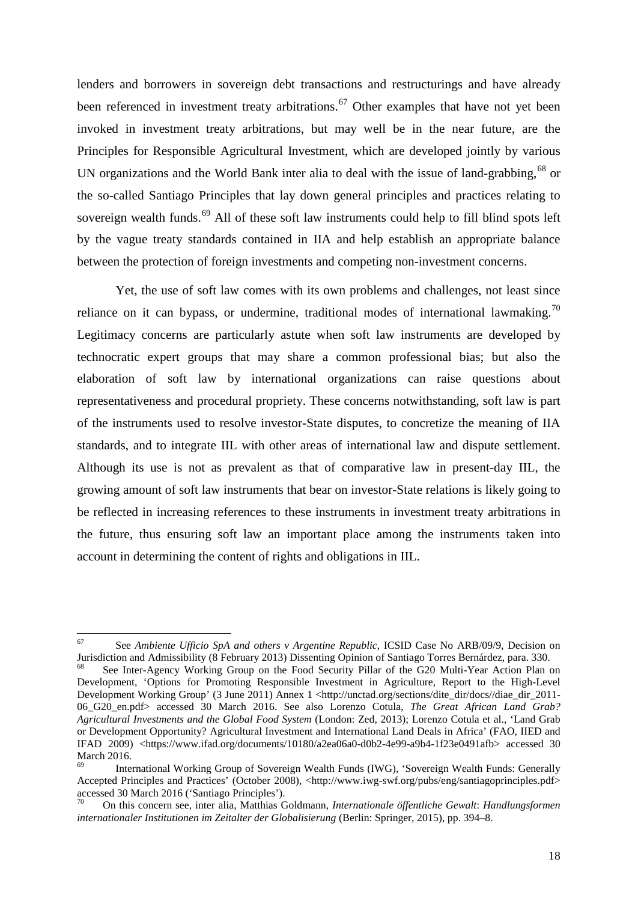lenders and borrowers in sovereign debt transactions and restructurings and have already been referenced in investment treaty arbitrations.<sup>[67](#page-20-0)</sup> Other examples that have not yet been invoked in investment treaty arbitrations, but may well be in the near future, are the Principles for Responsible Agricultural Investment, which are developed jointly by various UN organizations and the World Bank inter alia to deal with the issue of land-grabbing.<sup>[68](#page-20-1)</sup> or the so-called Santiago Principles that lay down general principles and practices relating to sovereign wealth funds.<sup>[69](#page-20-2)</sup> All of these soft law instruments could help to fill blind spots left by the vague treaty standards contained in IIA and help establish an appropriate balance between the protection of foreign investments and competing non-investment concerns.

Yet, the use of soft law comes with its own problems and challenges, not least since reliance on it can bypass, or undermine, traditional modes of international lawmaking.<sup>[70](#page-20-3)</sup> Legitimacy concerns are particularly astute when soft law instruments are developed by technocratic expert groups that may share a common professional bias; but also the elaboration of soft law by international organizations can raise questions about representativeness and procedural propriety. These concerns notwithstanding, soft law is part of the instruments used to resolve investor-State disputes, to concretize the meaning of IIA standards, and to integrate IIL with other areas of international law and dispute settlement. Although its use is not as prevalent as that of comparative law in present-day IIL, the growing amount of soft law instruments that bear on investor-State relations is likely going to be reflected in increasing references to these instruments in investment treaty arbitrations in the future, thus ensuring soft law an important place among the instruments taken into account in determining the content of rights and obligations in IIL.

<span id="page-20-0"></span><sup>&</sup>lt;sup>67</sup> See *Ambiente Ufficio SpA and others v Argentine Republic*, ICSID Case No ARB/09/9, Decision on Jurisdiction and Admissibility (8 February 2013) Dissenting Opinion of Santiago Torres Bernárdez, para. 330.

<span id="page-20-1"></span>See Inter-Agency Working Group on the Food Security Pillar of the G20 Multi-Year Action Plan on Development, 'Options for Promoting Responsible Investment in Agriculture, Report to the High-Level Development Working Group' (3 June 2011) Annex 1 <http://unctad.org/sections/dite\_dir/docs//diae\_dir\_2011-06\_G20\_en.pdf> accessed 30 March 2016. See also Lorenzo Cotula, *The Great African Land Grab? Agricultural Investments and the Global Food System* (London: Zed, 2013); Lorenzo Cotula et al., 'Land Grab or Development Opportunity? Agricultural Investment and International Land Deals in Africa' (FAO, IIED and IFAD 2009) <https://www.ifad.org/documents/10180/a2ea06a0-d0b2-4e99-a9b4-1f23e0491afb> accessed 30

<span id="page-20-2"></span>International Working Group of Sovereign Wealth Funds (IWG), 'Sovereign Wealth Funds: Generally Accepted Principles and Practices' (October 2008), [<http://www.iwg-swf.org/pubs/eng/santiagoprinciples.pdf>](http://www.iwg-swf.org/pubs/eng/santiagoprinciples.pdf) accessed 30 March 2016 ('Santiago Principles'). 70 On this concern see, inter alia, Matthias Goldmann, *Internationale öffentliche Gewalt*: *Handlungsformen* 

<span id="page-20-3"></span>*internationaler Institutionen im Zeitalter der Globalisierung* (Berlin: Springer, 2015), pp. 394–8.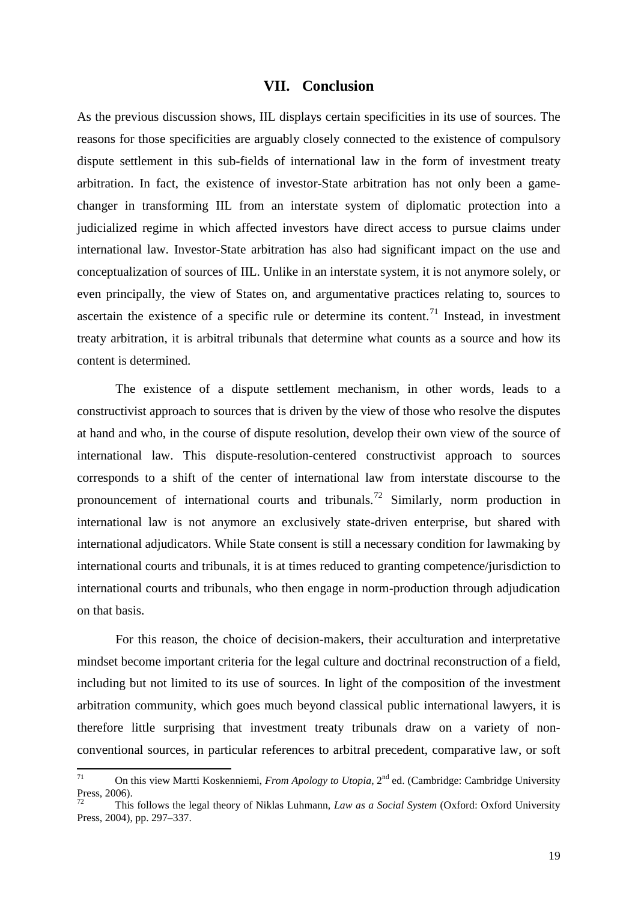#### **VII. Conclusion**

As the previous discussion shows, IIL displays certain specificities in its use of sources. The reasons for those specificities are arguably closely connected to the existence of compulsory dispute settlement in this sub-fields of international law in the form of investment treaty arbitration. In fact, the existence of investor-State arbitration has not only been a gamechanger in transforming IIL from an interstate system of diplomatic protection into a judicialized regime in which affected investors have direct access to pursue claims under international law. Investor-State arbitration has also had significant impact on the use and conceptualization of sources of IIL. Unlike in an interstate system, it is not anymore solely, or even principally, the view of States on, and argumentative practices relating to, sources to ascertain the existence of a specific rule or determine its content.<sup>[71](#page-21-0)</sup> Instead, in investment treaty arbitration, it is arbitral tribunals that determine what counts as a source and how its content is determined.

The existence of a dispute settlement mechanism, in other words, leads to a constructivist approach to sources that is driven by the view of those who resolve the disputes at hand and who, in the course of dispute resolution, develop their own view of the source of international law. This dispute-resolution-centered constructivist approach to sources corresponds to a shift of the center of international law from interstate discourse to the pronouncement of international courts and tribunals.<sup>[72](#page-21-1)</sup> Similarly, norm production in international law is not anymore an exclusively state-driven enterprise, but shared with international adjudicators. While State consent is still a necessary condition for lawmaking by international courts and tribunals, it is at times reduced to granting competence/jurisdiction to international courts and tribunals, who then engage in norm-production through adjudication on that basis.

For this reason, the choice of decision-makers, their acculturation and interpretative mindset become important criteria for the legal culture and doctrinal reconstruction of a field, including but not limited to its use of sources. In light of the composition of the investment arbitration community, which goes much beyond classical public international lawyers, it is therefore little surprising that investment treaty tribunals draw on a variety of nonconventional sources, in particular references to arbitral precedent, comparative law, or soft

<span id="page-21-0"></span><sup>71</sup> On this view Martti Koskenniemi, *From Apology to Utopia*, <sup>2</sup>nd ed. (Cambridge: Cambridge University Press, 2006). <sup>72</sup> This follows the legal theory of Niklas Luhmann, *Law as a Social System* (Oxford: Oxford University

<span id="page-21-1"></span>Press, 2004), pp. 297–337.